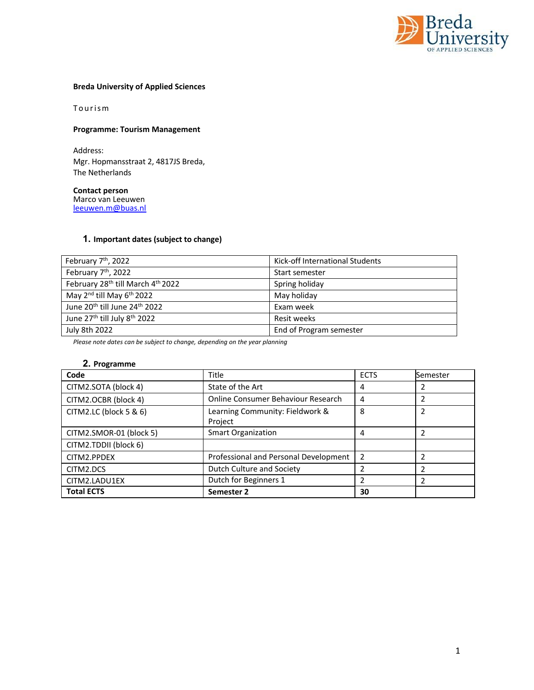

## **Breda University of Applied Sciences**

Tourism

### **Programme: Tourism Management**

Address: Mgr. Hopmansstraat 2, 4817JS Breda, The Netherlands

**Contact person**  Marco van Leeuwen leeuwen.m@buas.nl

### **1. Important dates (subject to change)**

| February 7 <sup>th</sup> , 2022                       | Kick-off International Students |
|-------------------------------------------------------|---------------------------------|
| February 7 <sup>th</sup> , 2022                       | Start semester                  |
| February 28th till March 4th 2022                     | Spring holiday                  |
| May 2 <sup>nd</sup> till May 6 <sup>th</sup> 2022     | May holiday                     |
| June 20 <sup>th</sup> till June 24 <sup>th</sup> 2022 | Exam week                       |
| June 27 <sup>th</sup> till July 8 <sup>th</sup> 2022  | Resit weeks                     |
| July 8th 2022                                         | End of Program semester         |

*Please note dates can be subject to change, depending on the year planning* 

## **2. Programme**

| Code                    | <b>Title</b>                               | <b>ECTS</b>    | Semester |
|-------------------------|--------------------------------------------|----------------|----------|
| CITM2.SOTA (block 4)    | State of the Art                           | 4              |          |
| CITM2.OCBR (block 4)    | Online Consumer Behaviour Research         | 4              |          |
| CITM2.LC (block 5 & 6)  | Learning Community: Fieldwork &<br>Project | 8              | 2        |
| CITM2.SMOR-01 (block 5) | <b>Smart Organization</b>                  | 4              |          |
| CITM2.TDDII (block 6)   |                                            |                |          |
| CITM2.PPDEX             | Professional and Personal Development      | $\overline{2}$ |          |
| CITM2.DCS               | Dutch Culture and Society                  |                |          |
| CITM2.LADU1EX           | Dutch for Beginners 1                      | 2              |          |
| <b>Total ECTS</b>       | Semester 2                                 | 30             |          |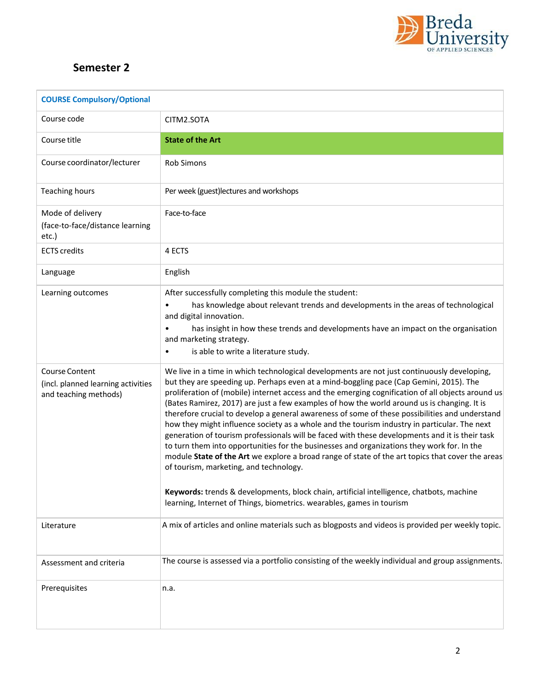

## **Semester 2**

| <b>COURSE Compulsory/Optional</b>                                                    |                                                                                                                                                                                                                                                                                                                                                                                                                                                                                                                                                                                                                                                                                                                                                                                                                                                                                                                                                                                                                                                                                                                |
|--------------------------------------------------------------------------------------|----------------------------------------------------------------------------------------------------------------------------------------------------------------------------------------------------------------------------------------------------------------------------------------------------------------------------------------------------------------------------------------------------------------------------------------------------------------------------------------------------------------------------------------------------------------------------------------------------------------------------------------------------------------------------------------------------------------------------------------------------------------------------------------------------------------------------------------------------------------------------------------------------------------------------------------------------------------------------------------------------------------------------------------------------------------------------------------------------------------|
| Course code                                                                          | CITM2.SOTA                                                                                                                                                                                                                                                                                                                                                                                                                                                                                                                                                                                                                                                                                                                                                                                                                                                                                                                                                                                                                                                                                                     |
| Course title                                                                         | <b>State of the Art</b>                                                                                                                                                                                                                                                                                                                                                                                                                                                                                                                                                                                                                                                                                                                                                                                                                                                                                                                                                                                                                                                                                        |
| Course coordinator/lecturer                                                          | <b>Rob Simons</b>                                                                                                                                                                                                                                                                                                                                                                                                                                                                                                                                                                                                                                                                                                                                                                                                                                                                                                                                                                                                                                                                                              |
| <b>Teaching hours</b>                                                                | Per week (guest)lectures and workshops                                                                                                                                                                                                                                                                                                                                                                                                                                                                                                                                                                                                                                                                                                                                                                                                                                                                                                                                                                                                                                                                         |
| Mode of delivery<br>(face-to-face/distance learning<br>etc.)                         | Face-to-face                                                                                                                                                                                                                                                                                                                                                                                                                                                                                                                                                                                                                                                                                                                                                                                                                                                                                                                                                                                                                                                                                                   |
| <b>ECTS</b> credits                                                                  | 4 ECTS                                                                                                                                                                                                                                                                                                                                                                                                                                                                                                                                                                                                                                                                                                                                                                                                                                                                                                                                                                                                                                                                                                         |
| Language                                                                             | English                                                                                                                                                                                                                                                                                                                                                                                                                                                                                                                                                                                                                                                                                                                                                                                                                                                                                                                                                                                                                                                                                                        |
| Learning outcomes                                                                    | After successfully completing this module the student:<br>has knowledge about relevant trends and developments in the areas of technological<br>and digital innovation.<br>has insight in how these trends and developments have an impact on the organisation<br>and marketing strategy.<br>is able to write a literature study.                                                                                                                                                                                                                                                                                                                                                                                                                                                                                                                                                                                                                                                                                                                                                                              |
| <b>Course Content</b><br>(incl. planned learning activities<br>and teaching methods) | We live in a time in which technological developments are not just continuously developing,<br>but they are speeding up. Perhaps even at a mind-boggling pace (Cap Gemini, 2015). The<br>proliferation of (mobile) internet access and the emerging cognification of all objects around us<br>(Bates Ramirez, 2017) are just a few examples of how the world around us is changing. It is<br>therefore crucial to develop a general awareness of some of these possibilities and understand<br>how they might influence society as a whole and the tourism industry in particular. The next<br>generation of tourism professionals will be faced with these developments and it is their task<br>to turn them into opportunities for the businesses and organizations they work for. In the<br>module State of the Art we explore a broad range of state of the art topics that cover the areas<br>of tourism, marketing, and technology.<br>Keywords: trends & developments, block chain, artificial intelligence, chatbots, machine<br>learning, Internet of Things, biometrics. wearables, games in tourism |
| Literature                                                                           | A mix of articles and online materials such as blogposts and videos is provided per weekly topic.                                                                                                                                                                                                                                                                                                                                                                                                                                                                                                                                                                                                                                                                                                                                                                                                                                                                                                                                                                                                              |
| Assessment and criteria                                                              | The course is assessed via a portfolio consisting of the weekly individual and group assignments.                                                                                                                                                                                                                                                                                                                                                                                                                                                                                                                                                                                                                                                                                                                                                                                                                                                                                                                                                                                                              |
| Prerequisites                                                                        | n.a.                                                                                                                                                                                                                                                                                                                                                                                                                                                                                                                                                                                                                                                                                                                                                                                                                                                                                                                                                                                                                                                                                                           |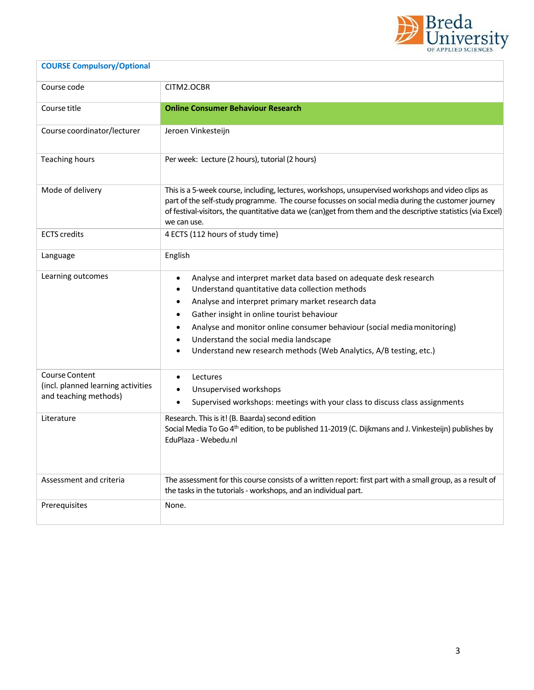

# Course code CITM2.OCBR Course title **Online Consumer Behaviour Research** Course coordinator/lecturer | Jeroen Vinkesteijn Teaching hours **Per week: Lecture (2 hours)**, tutorial (2 hours) Mode of delivery This is a 5-week course, including, lectures, workshops, unsupervised workshops and video clips as part of the self-study programme. The course focusses on social media during the customer journey of festival‐visitors, the quantitative data we (can)get from them and the descriptive statistics (via Excel) we can use. ECTS credits **4 ECTS** (112 hours of study time) Language **English** Learning outcomes **analyse** Analyse and interpret market data based on adequate desk research Understand quantitative data collection methods Analyse and interpret primary market research data Gather insight in online tourist behaviour Analyse and monitor online consumer behaviour (social media monitoring) Understand the social media landscape Understand new research methods (Web Analytics, A/B testing, etc.) Course Content (incl. planned learning activities and teaching methods) • Lectures Unsupervised workshops Supervised workshops: meetings with your class to discuss class assignments Literature **Research.** This is it! (B. Baarda) second edition Social Media To Go 4<sup>th</sup> edition, to be published 11-2019 (C. Dijkmans and J. Vinkesteijn) publishes by EduPlaza ‐ Webedu.nl Assessment and criteria The assessment for this course consists of a written report: first part with a small group, as a result of the tasks in the tutorials ‐ workshops, and an individual part. Prerequisites None.

**COURSE Compulsory/Optional**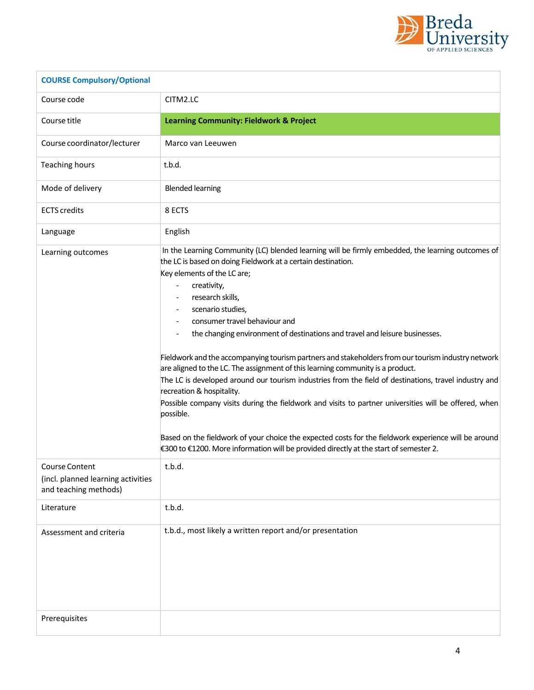

| <b>COURSE Compulsory/Optional</b>                                             |                                                                                                                                                                                                                                                                                                                                                                                                                                                                                                                                                                                                                                                                                                                                                                                                                                                                                                                                                                                                                                                           |
|-------------------------------------------------------------------------------|-----------------------------------------------------------------------------------------------------------------------------------------------------------------------------------------------------------------------------------------------------------------------------------------------------------------------------------------------------------------------------------------------------------------------------------------------------------------------------------------------------------------------------------------------------------------------------------------------------------------------------------------------------------------------------------------------------------------------------------------------------------------------------------------------------------------------------------------------------------------------------------------------------------------------------------------------------------------------------------------------------------------------------------------------------------|
| Course code                                                                   | CITM2.LC                                                                                                                                                                                                                                                                                                                                                                                                                                                                                                                                                                                                                                                                                                                                                                                                                                                                                                                                                                                                                                                  |
| Course title                                                                  | <b>Learning Community: Fieldwork &amp; Project</b>                                                                                                                                                                                                                                                                                                                                                                                                                                                                                                                                                                                                                                                                                                                                                                                                                                                                                                                                                                                                        |
| Course coordinator/lecturer                                                   | Marco van Leeuwen                                                                                                                                                                                                                                                                                                                                                                                                                                                                                                                                                                                                                                                                                                                                                                                                                                                                                                                                                                                                                                         |
| <b>Teaching hours</b>                                                         | t.b.d.                                                                                                                                                                                                                                                                                                                                                                                                                                                                                                                                                                                                                                                                                                                                                                                                                                                                                                                                                                                                                                                    |
| Mode of delivery                                                              | <b>Blended learning</b>                                                                                                                                                                                                                                                                                                                                                                                                                                                                                                                                                                                                                                                                                                                                                                                                                                                                                                                                                                                                                                   |
| <b>ECTS</b> credits                                                           | 8 ECTS                                                                                                                                                                                                                                                                                                                                                                                                                                                                                                                                                                                                                                                                                                                                                                                                                                                                                                                                                                                                                                                    |
| Language                                                                      | English                                                                                                                                                                                                                                                                                                                                                                                                                                                                                                                                                                                                                                                                                                                                                                                                                                                                                                                                                                                                                                                   |
| Learning outcomes                                                             | In the Learning Community (LC) blended learning will be firmly embedded, the learning outcomes of<br>the LC is based on doing Fieldwork at a certain destination.<br>Key elements of the LC are;<br>creativity,<br>$\overline{\phantom{a}}$<br>research skills,<br>scenario studies,<br>consumer travel behaviour and<br>the changing environment of destinations and travel and leisure businesses.<br>Fieldwork and the accompanying tourism partners and stakeholders from our tourism industry network<br>are aligned to the LC. The assignment of this learning community is a product.<br>The LC is developed around our tourism industries from the field of destinations, travel industry and<br>recreation & hospitality.<br>Possible company visits during the fieldwork and visits to partner universities will be offered, when<br>possible.<br>Based on the fieldwork of your choice the expected costs for the fieldwork experience will be around<br>€300 to €1200. More information will be provided directly at the start of semester 2. |
| Course Content<br>(incl. planned learning activities<br>and teaching methods) | t.b.d.                                                                                                                                                                                                                                                                                                                                                                                                                                                                                                                                                                                                                                                                                                                                                                                                                                                                                                                                                                                                                                                    |
| Literature                                                                    | t.b.d.                                                                                                                                                                                                                                                                                                                                                                                                                                                                                                                                                                                                                                                                                                                                                                                                                                                                                                                                                                                                                                                    |
| Assessment and criteria<br>Prerequisites                                      | t.b.d., most likely a written report and/or presentation                                                                                                                                                                                                                                                                                                                                                                                                                                                                                                                                                                                                                                                                                                                                                                                                                                                                                                                                                                                                  |
|                                                                               |                                                                                                                                                                                                                                                                                                                                                                                                                                                                                                                                                                                                                                                                                                                                                                                                                                                                                                                                                                                                                                                           |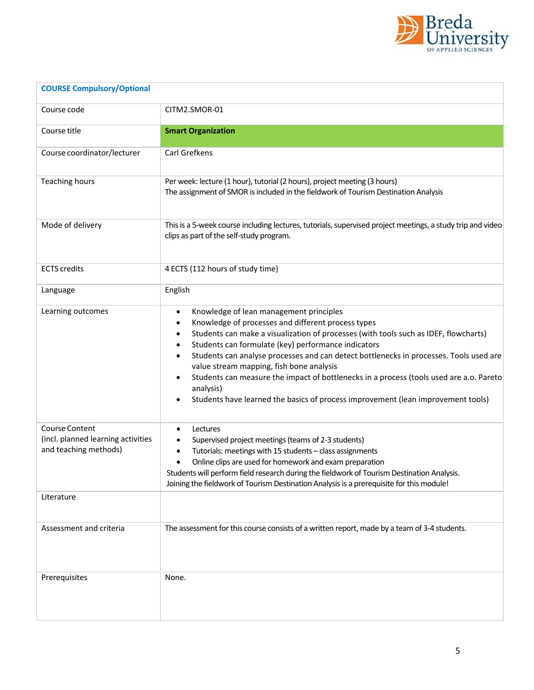

| <b>COURSE Compulsory/Optional</b>                                             |                                                                                                                                                                                                                                                                                                                                                                                                                                                                                                                                                                                                                              |
|-------------------------------------------------------------------------------|------------------------------------------------------------------------------------------------------------------------------------------------------------------------------------------------------------------------------------------------------------------------------------------------------------------------------------------------------------------------------------------------------------------------------------------------------------------------------------------------------------------------------------------------------------------------------------------------------------------------------|
| Course code                                                                   | CITM2.SMOR-01                                                                                                                                                                                                                                                                                                                                                                                                                                                                                                                                                                                                                |
| Course title                                                                  | <b>Smart Organization</b>                                                                                                                                                                                                                                                                                                                                                                                                                                                                                                                                                                                                    |
| Course coordinator/lecturer                                                   | Carl Grefkens                                                                                                                                                                                                                                                                                                                                                                                                                                                                                                                                                                                                                |
| <b>Teaching hours</b>                                                         | Per week: lecture (1 hour), tutorial (2 hours), project meeting (3 hours)<br>The assignment of SMOR is included in the fieldwork of Tourism Destination Analysis                                                                                                                                                                                                                                                                                                                                                                                                                                                             |
| Mode of delivery                                                              | This is a 5-week course including lectures, tutorials, supervised project meetings, a study trip and video<br>clips as part of the self-study program.                                                                                                                                                                                                                                                                                                                                                                                                                                                                       |
| <b>ECTS</b> credits                                                           | 4 ECTS (112 hours of study time)                                                                                                                                                                                                                                                                                                                                                                                                                                                                                                                                                                                             |
| Language                                                                      | English                                                                                                                                                                                                                                                                                                                                                                                                                                                                                                                                                                                                                      |
| Learning outcomes                                                             | Knowledge of lean management principles<br>٠<br>Knowledge of processes and different process types<br>0<br>Students can make a visualization of processes (with tools such as IDEF, flowcharts)<br>٠<br>Students can formulate (key) performance indicators<br>٠<br>Students can analyse processes and can detect bottlenecks in processes. Tools used are<br>$\bullet$<br>value stream mapping, fish bone analysis<br>Students can measure the impact of bottlenecks in a process (tools used are a.o. Pareto<br>$\bullet$<br>analysis)<br>Students have learned the basics of process improvement (lean improvement tools) |
| Course Content<br>(incl. planned learning activities<br>and teaching methods) | Lectures<br>$\bullet$<br>Supervised project meetings (teams of 2-3 students)<br>Tutorials: meetings with 15 students - class assignments<br>Online clips are used for homework and exam preparation<br>Students will perform field research during the fieldwork of Tourism Destination Analysis.<br>Joining the fieldwork of Tourism Destination Analysis is a prerequisite for this module!                                                                                                                                                                                                                                |
| Literature                                                                    |                                                                                                                                                                                                                                                                                                                                                                                                                                                                                                                                                                                                                              |
| Assessment and criteria                                                       | The assessment for this course consists of a written report, made by a team of 3-4 students.                                                                                                                                                                                                                                                                                                                                                                                                                                                                                                                                 |
| Prerequisites                                                                 | None.                                                                                                                                                                                                                                                                                                                                                                                                                                                                                                                                                                                                                        |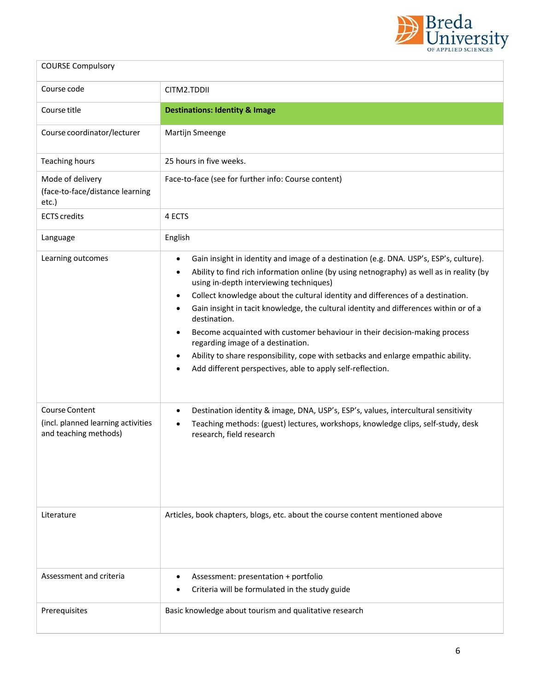

| <b>COURSE Compulsory</b>                                                      |                                                                                                                                                                                                                                                                                                                                                                                                                                                                                                                                                                                                                                                                                                                                                                                    |
|-------------------------------------------------------------------------------|------------------------------------------------------------------------------------------------------------------------------------------------------------------------------------------------------------------------------------------------------------------------------------------------------------------------------------------------------------------------------------------------------------------------------------------------------------------------------------------------------------------------------------------------------------------------------------------------------------------------------------------------------------------------------------------------------------------------------------------------------------------------------------|
| Course code                                                                   | CITM2.TDDII                                                                                                                                                                                                                                                                                                                                                                                                                                                                                                                                                                                                                                                                                                                                                                        |
| Course title                                                                  | <b>Destinations: Identity &amp; Image</b>                                                                                                                                                                                                                                                                                                                                                                                                                                                                                                                                                                                                                                                                                                                                          |
| Course coordinator/lecturer                                                   | Martijn Smeenge                                                                                                                                                                                                                                                                                                                                                                                                                                                                                                                                                                                                                                                                                                                                                                    |
| <b>Teaching hours</b>                                                         | 25 hours in five weeks.                                                                                                                                                                                                                                                                                                                                                                                                                                                                                                                                                                                                                                                                                                                                                            |
| Mode of delivery<br>(face-to-face/distance learning<br>etc.)                  | Face-to-face (see for further info: Course content)                                                                                                                                                                                                                                                                                                                                                                                                                                                                                                                                                                                                                                                                                                                                |
| <b>ECTS</b> credits                                                           | 4 ECTS                                                                                                                                                                                                                                                                                                                                                                                                                                                                                                                                                                                                                                                                                                                                                                             |
| Language                                                                      | English                                                                                                                                                                                                                                                                                                                                                                                                                                                                                                                                                                                                                                                                                                                                                                            |
| Learning outcomes                                                             | Gain insight in identity and image of a destination (e.g. DNA. USP's, ESP's, culture).<br>$\bullet$<br>Ability to find rich information online (by using netnography) as well as in reality (by<br>$\bullet$<br>using in-depth interviewing techniques)<br>Collect knowledge about the cultural identity and differences of a destination.<br>$\bullet$<br>Gain insight in tacit knowledge, the cultural identity and differences within or of a<br>$\bullet$<br>destination.<br>Become acquainted with customer behaviour in their decision-making process<br>$\bullet$<br>regarding image of a destination.<br>Ability to share responsibility, cope with setbacks and enlarge empathic ability.<br>٠<br>Add different perspectives, able to apply self-reflection.<br>$\bullet$ |
| Course Content<br>(incl. planned learning activities<br>and teaching methods) | Destination identity & image, DNA, USP's, ESP's, values, intercultural sensitivity<br>$\bullet$<br>Teaching methods: (guest) lectures, workshops, knowledge clips, self-study, desk<br>$\bullet$<br>research, field research                                                                                                                                                                                                                                                                                                                                                                                                                                                                                                                                                       |
| Literature                                                                    | Articles, book chapters, blogs, etc. about the course content mentioned above                                                                                                                                                                                                                                                                                                                                                                                                                                                                                                                                                                                                                                                                                                      |
| Assessment and criteria                                                       | Assessment: presentation + portfolio<br>Criteria will be formulated in the study guide                                                                                                                                                                                                                                                                                                                                                                                                                                                                                                                                                                                                                                                                                             |
| Prerequisites                                                                 | Basic knowledge about tourism and qualitative research                                                                                                                                                                                                                                                                                                                                                                                                                                                                                                                                                                                                                                                                                                                             |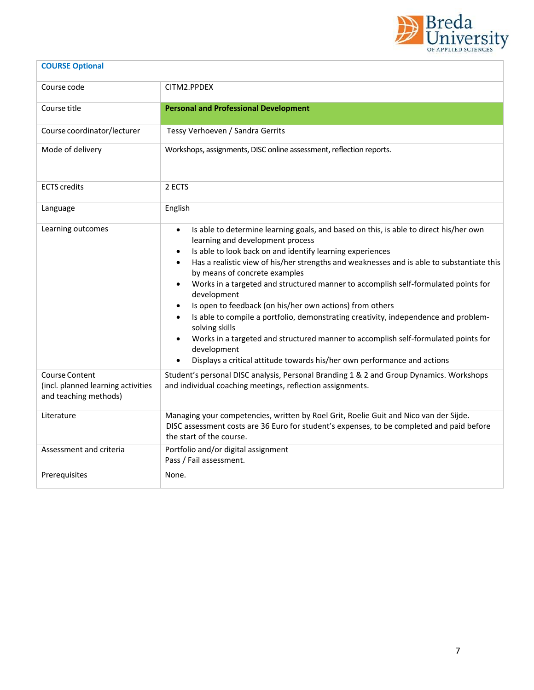

| <b>COURSE Optional</b>                                                               |                                                                                                                                                                                                                                                                                                                                                                                                                                                                                                                                                                                                                                                                                                                                                                                                                                                                            |
|--------------------------------------------------------------------------------------|----------------------------------------------------------------------------------------------------------------------------------------------------------------------------------------------------------------------------------------------------------------------------------------------------------------------------------------------------------------------------------------------------------------------------------------------------------------------------------------------------------------------------------------------------------------------------------------------------------------------------------------------------------------------------------------------------------------------------------------------------------------------------------------------------------------------------------------------------------------------------|
| Course code                                                                          | CITM2.PPDEX                                                                                                                                                                                                                                                                                                                                                                                                                                                                                                                                                                                                                                                                                                                                                                                                                                                                |
| Course title                                                                         | <b>Personal and Professional Development</b>                                                                                                                                                                                                                                                                                                                                                                                                                                                                                                                                                                                                                                                                                                                                                                                                                               |
| Course coordinator/lecturer                                                          | Tessy Verhoeven / Sandra Gerrits                                                                                                                                                                                                                                                                                                                                                                                                                                                                                                                                                                                                                                                                                                                                                                                                                                           |
| Mode of delivery                                                                     | Workshops, assignments, DISC online assessment, reflection reports.                                                                                                                                                                                                                                                                                                                                                                                                                                                                                                                                                                                                                                                                                                                                                                                                        |
| <b>ECTS</b> credits                                                                  | 2 ECTS                                                                                                                                                                                                                                                                                                                                                                                                                                                                                                                                                                                                                                                                                                                                                                                                                                                                     |
| Language                                                                             | English                                                                                                                                                                                                                                                                                                                                                                                                                                                                                                                                                                                                                                                                                                                                                                                                                                                                    |
| Learning outcomes                                                                    | Is able to determine learning goals, and based on this, is able to direct his/her own<br>$\bullet$<br>learning and development process<br>Is able to look back on and identify learning experiences<br>$\bullet$<br>Has a realistic view of his/her strengths and weaknesses and is able to substantiate this<br>$\bullet$<br>by means of concrete examples<br>Works in a targeted and structured manner to accomplish self-formulated points for<br>$\bullet$<br>development<br>Is open to feedback (on his/her own actions) from others<br>$\bullet$<br>Is able to compile a portfolio, demonstrating creativity, independence and problem-<br>$\bullet$<br>solving skills<br>Works in a targeted and structured manner to accomplish self-formulated points for<br>development<br>Displays a critical attitude towards his/her own performance and actions<br>$\bullet$ |
| <b>Course Content</b><br>(incl. planned learning activities<br>and teaching methods) | Student's personal DISC analysis, Personal Branding 1 & 2 and Group Dynamics. Workshops<br>and individual coaching meetings, reflection assignments.                                                                                                                                                                                                                                                                                                                                                                                                                                                                                                                                                                                                                                                                                                                       |
| Literature                                                                           | Managing your competencies, written by Roel Grit, Roelie Guit and Nico van der Sijde.<br>DISC assessment costs are 36 Euro for student's expenses, to be completed and paid before<br>the start of the course.                                                                                                                                                                                                                                                                                                                                                                                                                                                                                                                                                                                                                                                             |
| Assessment and criteria                                                              | Portfolio and/or digital assignment<br>Pass / Fail assessment.                                                                                                                                                                                                                                                                                                                                                                                                                                                                                                                                                                                                                                                                                                                                                                                                             |
| Prerequisites                                                                        | None.                                                                                                                                                                                                                                                                                                                                                                                                                                                                                                                                                                                                                                                                                                                                                                                                                                                                      |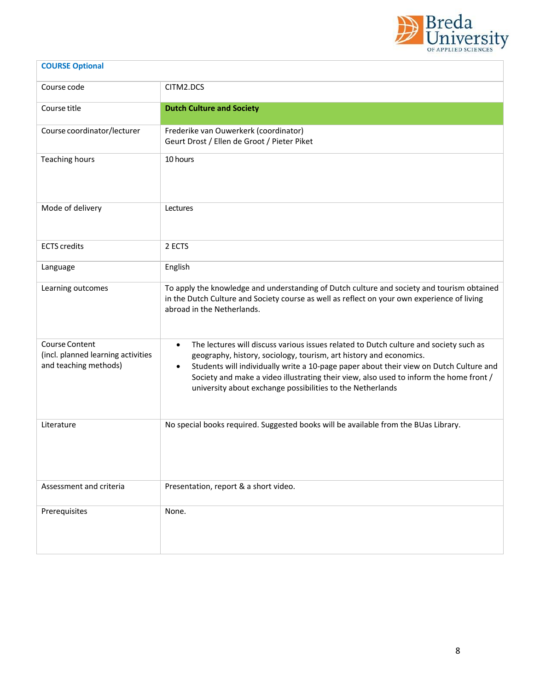

| <b>COURSE Optional</b>                                                        |                                                                                                                                                                                                                                                                                                                                                                                                                                         |
|-------------------------------------------------------------------------------|-----------------------------------------------------------------------------------------------------------------------------------------------------------------------------------------------------------------------------------------------------------------------------------------------------------------------------------------------------------------------------------------------------------------------------------------|
| Course code                                                                   | CITM2.DCS                                                                                                                                                                                                                                                                                                                                                                                                                               |
| Course title                                                                  | <b>Dutch Culture and Society</b>                                                                                                                                                                                                                                                                                                                                                                                                        |
| Course coordinator/lecturer                                                   | Frederike van Ouwerkerk (coordinator)<br>Geurt Drost / Ellen de Groot / Pieter Piket                                                                                                                                                                                                                                                                                                                                                    |
| <b>Teaching hours</b>                                                         | 10 hours                                                                                                                                                                                                                                                                                                                                                                                                                                |
| Mode of delivery                                                              | Lectures                                                                                                                                                                                                                                                                                                                                                                                                                                |
| <b>ECTS</b> credits                                                           | 2 ECTS                                                                                                                                                                                                                                                                                                                                                                                                                                  |
| Language                                                                      | English                                                                                                                                                                                                                                                                                                                                                                                                                                 |
| Learning outcomes                                                             | To apply the knowledge and understanding of Dutch culture and society and tourism obtained<br>in the Dutch Culture and Society course as well as reflect on your own experience of living<br>abroad in the Netherlands.                                                                                                                                                                                                                 |
| Course Content<br>(incl. planned learning activities<br>and teaching methods) | The lectures will discuss various issues related to Dutch culture and society such as<br>$\bullet$<br>geography, history, sociology, tourism, art history and economics.<br>Students will individually write a 10-page paper about their view on Dutch Culture and<br>$\bullet$<br>Society and make a video illustrating their view, also used to inform the home front /<br>university about exchange possibilities to the Netherlands |
| Literature                                                                    | No special books required. Suggested books will be available from the BUas Library.                                                                                                                                                                                                                                                                                                                                                     |
| Assessment and criteria                                                       | Presentation, report & a short video.                                                                                                                                                                                                                                                                                                                                                                                                   |
| Prerequisites                                                                 | None.                                                                                                                                                                                                                                                                                                                                                                                                                                   |